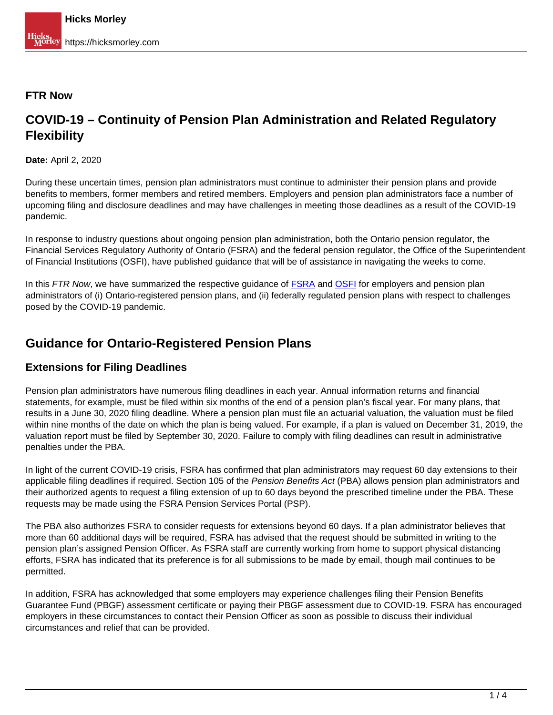#### **FTR Now**

# **COVID-19 – Continuity of Pension Plan Administration and Related Regulatory Flexibility**

**Date:** April 2, 2020

During these uncertain times, pension plan administrators must continue to administer their pension plans and provide benefits to members, former members and retired members. Employers and pension plan administrators face a number of upcoming filing and disclosure deadlines and may have challenges in meeting those deadlines as a result of the COVID-19 pandemic.

In response to industry questions about ongoing pension plan administration, both the Ontario pension regulator, the Financial Services Regulatory Authority of Ontario (FSRA) and the federal pension regulator, the Office of the Superintendent of Financial Institutions (OSFI), have published guidance that will be of assistance in navigating the weeks to come.

In this FTR Now, we have summarized the respective guidance of [FSRA](https://www.fsrao.ca/newsroom/fsra-announces-changes-regulatory-requirements-due-covid-19) and OSFI for employers and pension plan administrators of (i) Ontario-registered pension plans, and (ii) federally regulated pension plans with respect to challenges posed by the COVID-19 pandemic.

# **Guidance for Ontario-Registered Pension Plans**

#### **Extensions for Filing Deadlines**

Pension plan administrators have numerous filing deadlines in each year. Annual information returns and financial statements, for example, must be filed within six months of the end of a pension plan's fiscal year. For many plans, that results in a June 30, 2020 filing deadline. Where a pension plan must file an actuarial valuation, the valuation must be filed within nine months of the date on which the plan is being valued. For example, if a plan is valued on December 31, 2019, the valuation report must be filed by September 30, 2020. Failure to comply with filing deadlines can result in administrative penalties under the PBA.

In light of the current COVID-19 crisis, FSRA has confirmed that plan administrators may request 60 day extensions to their applicable filing deadlines if required. Section 105 of the Pension Benefits Act (PBA) allows pension plan administrators and their authorized agents to request a filing extension of up to 60 days beyond the prescribed timeline under the PBA. These requests may be made using the FSRA Pension Services Portal (PSP).

The PBA also authorizes FSRA to consider requests for extensions beyond 60 days. If a plan administrator believes that more than 60 additional days will be required, FSRA has advised that the request should be submitted in writing to the pension plan's assigned Pension Officer. As FSRA staff are currently working from home to support physical distancing efforts, FSRA has indicated that its preference is for all submissions to be made by email, though mail continues to be permitted.

In addition, FSRA has acknowledged that some employers may experience challenges filing their Pension Benefits Guarantee Fund (PBGF) assessment certificate or paying their PBGF assessment due to COVID-19. FSRA has encouraged employers in these circumstances to contact their Pension Officer as soon as possible to discuss their individual circumstances and relief that can be provided.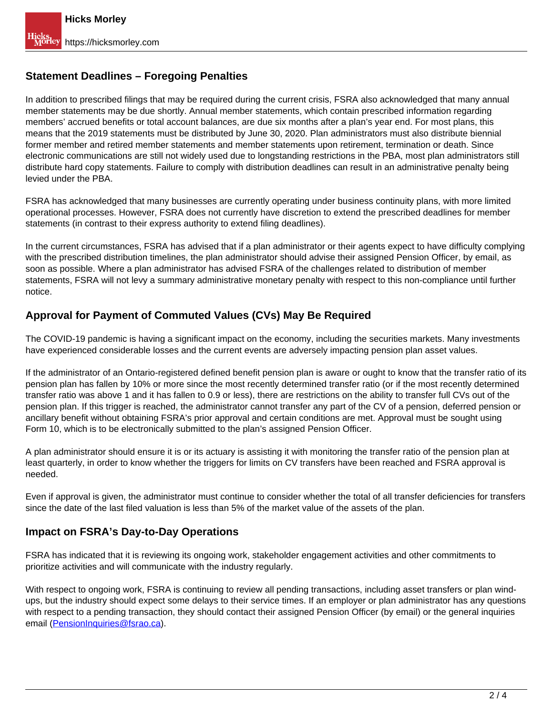### **Statement Deadlines – Foregoing Penalties**

In addition to prescribed filings that may be required during the current crisis, FSRA also acknowledged that many annual member statements may be due shortly. Annual member statements, which contain prescribed information regarding members' accrued benefits or total account balances, are due six months after a plan's year end. For most plans, this means that the 2019 statements must be distributed by June 30, 2020. Plan administrators must also distribute biennial former member and retired member statements and member statements upon retirement, termination or death. Since electronic communications are still not widely used due to longstanding restrictions in the PBA, most plan administrators still distribute hard copy statements. Failure to comply with distribution deadlines can result in an administrative penalty being levied under the PBA.

FSRA has acknowledged that many businesses are currently operating under business continuity plans, with more limited operational processes. However, FSRA does not currently have discretion to extend the prescribed deadlines for member statements (in contrast to their express authority to extend filing deadlines).

In the current circumstances, FSRA has advised that if a plan administrator or their agents expect to have difficulty complying with the prescribed distribution timelines, the plan administrator should advise their assigned Pension Officer, by email, as soon as possible. Where a plan administrator has advised FSRA of the challenges related to distribution of member statements, FSRA will not levy a summary administrative monetary penalty with respect to this non-compliance until further notice.

### **Approval for Payment of Commuted Values (CVs) May Be Required**

The COVID-19 pandemic is having a significant impact on the economy, including the securities markets. Many investments have experienced considerable losses and the current events are adversely impacting pension plan asset values.

If the administrator of an Ontario-registered defined benefit pension plan is aware or ought to know that the transfer ratio of its pension plan has fallen by 10% or more since the most recently determined transfer ratio (or if the most recently determined transfer ratio was above 1 and it has fallen to 0.9 or less), there are restrictions on the ability to transfer full CVs out of the pension plan. If this trigger is reached, the administrator cannot transfer any part of the CV of a pension, deferred pension or ancillary benefit without obtaining FSRA's prior approval and certain conditions are met. Approval must be sought using Form 10, which is to be electronically submitted to the plan's assigned Pension Officer.

A plan administrator should ensure it is or its actuary is assisting it with monitoring the transfer ratio of the pension plan at least quarterly, in order to know whether the triggers for limits on CV transfers have been reached and FSRA approval is needed.

Even if approval is given, the administrator must continue to consider whether the total of all transfer deficiencies for transfers since the date of the last filed valuation is less than 5% of the market value of the assets of the plan.

#### **Impact on FSRA's Day-to-Day Operations**

FSRA has indicated that it is reviewing its ongoing work, stakeholder engagement activities and other commitments to prioritize activities and will communicate with the industry regularly.

With respect to ongoing work, FSRA is continuing to review all pending transactions, including asset transfers or plan windups, but the industry should expect some delays to their service times. If an employer or plan administrator has any questions with respect to a pending transaction, they should contact their assigned Pension Officer (by email) or the general inquiries email (PensionInquiries@fsrao.ca).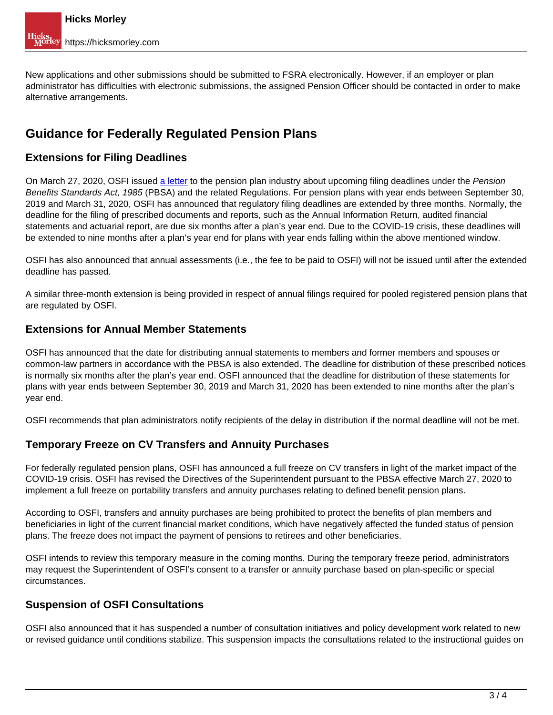New applications and other submissions should be submitted to FSRA electronically. However, if an employer or plan administrator has difficulties with electronic submissions, the assigned Pension Officer should be contacted in order to make alternative arrangements.

# **Guidance for Federally Regulated Pension Plans**

# **Extensions for Filing Deadlines**

On March 27, 2020, OSFI issued a letter to the pension plan industry about upcoming filing deadlines under the Pension Benefits Standards Act, 1985 (PBSA) and the related Regulations. For pension plans with year ends between September 30, 2019 and March 31, 2020, OSFI has announced that regulatory filing deadlines are extended by three months. Normally, the deadline for the filing of prescribed documents and reports, such as the Annual Information Return, audited financial statements and actuarial report, are due six months after a plan's year end. Due to the COVID-19 crisis, these deadlines will be extended to nine months after a plan's year end for plans with year ends falling within the above mentioned window.

OSFI has also announced that annual assessments (i.e., the fee to be paid to OSFI) will not be issued until after the extended deadline has passed.

A similar three-month extension is being provided in respect of annual filings required for pooled registered pension plans that are regulated by OSFI.

#### **Extensions for Annual Member Statements**

OSFI has announced that the date for distributing annual statements to members and former members and spouses or common-law partners in accordance with the PBSA is also extended. The deadline for distribution of these prescribed notices is normally six months after the plan's year end. OSFI announced that the deadline for distribution of these statements for plans with year ends between September 30, 2019 and March 31, 2020 has been extended to nine months after the plan's year end.

OSFI recommends that plan administrators notify recipients of the delay in distribution if the normal deadline will not be met.

## **Temporary Freeze on CV Transfers and Annuity Purchases**

For federally regulated pension plans, OSFI has announced a full freeze on CV transfers in light of the market impact of the COVID-19 crisis. OSFI has revised the Directives of the Superintendent pursuant to the PBSA effective March 27, 2020 to implement a full freeze on portability transfers and annuity purchases relating to defined benefit pension plans.

According to OSFI, transfers and annuity purchases are being prohibited to protect the benefits of plan members and beneficiaries in light of the current financial market conditions, which have negatively affected the funded status of pension plans. The freeze does not impact the payment of pensions to retirees and other beneficiaries.

OSFI intends to review this temporary measure in the coming months. During the temporary freeze period, administrators may request the Superintendent of OSFI's consent to a transfer or annuity purchase based on plan-specific or special circumstances.

## **Suspension of OSFI Consultations**

OSFI also announced that it has suspended a number of consultation initiatives and policy development work related to new or revised guidance until conditions stabilize. This suspension impacts the consultations related to the instructional guides on